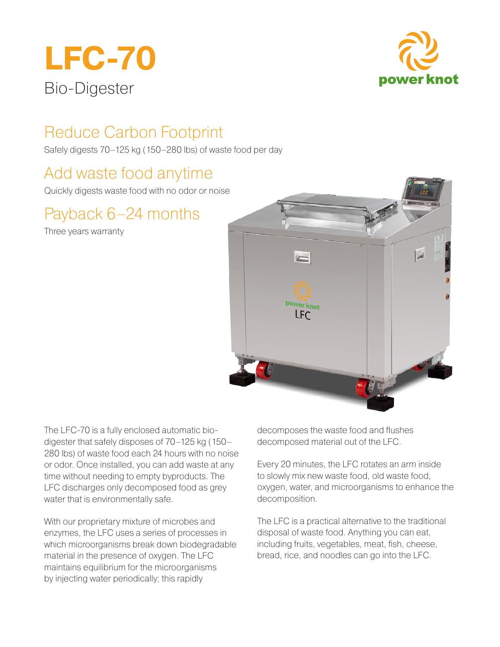



# Reduce Carbon Footprint

Safely digests 70–125 kg (150–280 lbs) of waste food per day

## Add waste food anytime

Quickly digests waste food with no odor or noise

# Payback 6–24 months

Three years warranty



The LFC-70 is a fully enclosed automatic biodigester that safely disposes of 70–125 kg (150– 280 lbs) of waste food each 24 hours with no noise or odor. Once installed, you can add waste at any time without needing to empty byproducts. The LFC discharges only decomposed food as grey water that is environmentally safe.

With our proprietary mixture of microbes and enzymes, the LFC uses a series of processes in which microorganisms break down biodegradable material in the presence of oxygen. The LFC maintains equilibrium for the microorganisms by injecting water periodically; this rapidly

decomposes the waste food and flushes decomposed material out of the LFC.

Every 20 minutes, the LFC rotates an arm inside to slowly mix new waste food, old waste food, oxygen, water, and microorganisms to enhance the decomposition.

The LFC is a practical alternative to the traditional disposal of waste food. Anything you can eat, including fruits, vegetables, meat, fish, cheese, bread, rice, and noodles can go into the LFC.